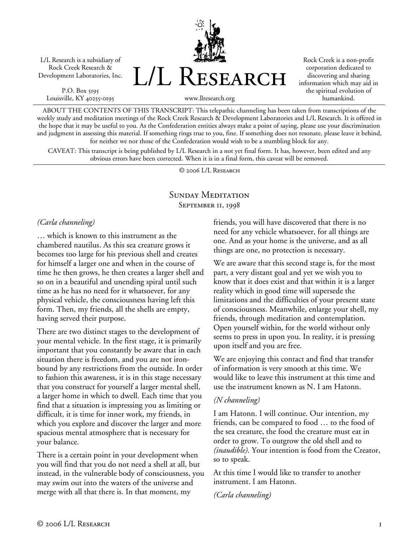L/L Research is a subsidiary of Rock Creek Research & Development Laboratories, Inc.

P.O. Box 5195 Louisville, KY 40255-0195



Rock Creek is a non-profit corporation dedicated to discovering and sharing information which may aid in the spiritual evolution of humankind.

www.llresearch.org

ABOUT THE CONTENTS OF THIS TRANSCRIPT: This telepathic channeling has been taken from transcriptions of the weekly study and meditation meetings of the Rock Creek Research & Development Laboratories and L/L Research. It is offered in the hope that it may be useful to you. As the Confederation entities always make a point of saying, please use your discrimination and judgment in assessing this material. If something rings true to you, fine. If something does not resonate, please leave it behind, for neither we nor those of the Confederation would wish to be a stumbling block for any.

CAVEAT: This transcript is being published by L/L Research in a not yet final form. It has, however, been edited and any obvious errors have been corrected. When it is in a final form, this caveat will be removed.

© 2006 L/L Research

### SUNDAY MEDITATION SEPTEMBER II, 1998

#### *(Carla channeling)*

… which is known to this instrument as the chambered nautilus. As this sea creature grows it becomes too large for his previous shell and creates for himself a larger one and when in the course of time he then grows, he then creates a larger shell and so on in a beautiful and unending spiral until such time as he has no need for it whatsoever, for any physical vehicle, the consciousness having left this form. Then, my friends, all the shells are empty, having served their purpose.

There are two distinct stages to the development of your mental vehicle. In the first stage, it is primarily important that you constantly be aware that in each situation there is freedom, and you are not ironbound by any restrictions from the outside. In order to fashion this awareness, it is in this stage necessary that you construct for yourself a larger mental shell, a larger home in which to dwell. Each time that you find that a situation is impressing you as limiting or difficult, it is time for inner work, my friends, in which you explore and discover the larger and more spacious mental atmosphere that is necessary for your balance.

There is a certain point in your development when you will find that you do not need a shell at all, but instead, in the vulnerable body of consciousness, you may swim out into the waters of the universe and merge with all that there is. In that moment, my

friends, you will have discovered that there is no need for any vehicle whatsoever, for all things are one. And as your home is the universe, and as all things are one, no protection is necessary.

We are aware that this second stage is, for the most part, a very distant goal and yet we wish you to know that it does exist and that within it is a larger reality which in good time will supersede the limitations and the difficulties of your present state of consciousness. Meanwhile, enlarge your shell, my friends, through meditation and contemplation. Open yourself within, for the world without only seems to press in upon you. In reality, it is pressing upon itself and you are free.

We are enjoying this contact and find that transfer of information is very smooth at this time. We would like to leave this instrument at this time and use the instrument known as N. I am Hatonn.

### *(N channeling)*

I am Hatonn. I will continue. Our intention, my friends, can be compared to food … to the food of the sea creature, the food the creature must eat in order to grow. To outgrow the old shell and to *(inaudible)*. Your intention is food from the Creator, so to speak.

At this time I would like to transfer to another instrument. I am Hatonn.

*(Carla channeling)*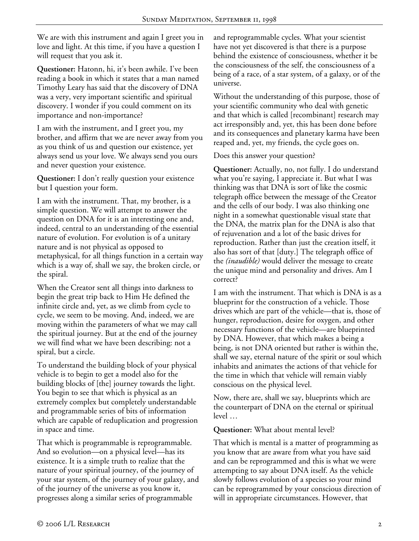We are with this instrument and again I greet you in love and light. At this time, if you have a question I will request that you ask it.

**Questioner:** Hatonn, hi, it's been awhile. I've been reading a book in which it states that a man named Timothy Leary has said that the discovery of DNA was a very, very important scientific and spiritual discovery. I wonder if you could comment on its importance and non-importance?

I am with the instrument, and I greet you, my brother, and affirm that we are never away from you as you think of us and question our existence, yet always send us your love. We always send you ours and never question your existence.

**Questioner:** I don't really question your existence but I question your form.

I am with the instrument. That, my brother, is a simple question. We will attempt to answer the question on DNA for it is an interesting one and, indeed, central to an understanding of the essential nature of evolution. For evolution is of a unitary nature and is not physical as opposed to metaphysical, for all things function in a certain way which is a way of, shall we say, the broken circle, or the spiral.

When the Creator sent all things into darkness to begin the great trip back to Him He defined the infinite circle and, yet, as we climb from cycle to cycle, we seem to be moving. And, indeed, we are moving within the parameters of what we may call the spiritual journey. But at the end of the journey we will find what we have been describing: not a spiral, but a circle.

To understand the building block of your physical vehicle is to begin to get a model also for the building blocks of [the] journey towards the light. You begin to see that which is physical as an extremely complex but completely understandable and programmable series of bits of information which are capable of reduplication and progression in space and time.

That which is programmable is reprogrammable. And so evolution—on a physical level—has its existence. It is a simple truth to realize that the nature of your spiritual journey, of the journey of your star system, of the journey of your galaxy, and of the journey of the universe as you know it, progresses along a similar series of programmable

and reprogrammable cycles. What your scientist have not yet discovered is that there is a purpose behind the existence of consciousness, whether it be the consciousness of the self, the consciousness of a being of a race, of a star system, of a galaxy, or of the universe.

Without the understanding of this purpose, those of your scientific community who deal with genetic and that which is called [recombinant] research may act irresponsibly and, yet, this has been done before and its consequences and planetary karma have been reaped and, yet, my friends, the cycle goes on.

Does this answer your question?

**Questioner:** Actually, no, not fully. I do understand what you're saying, I appreciate it. But what I was thinking was that DNA is sort of like the cosmic telegraph office between the message of the Creator and the cells of our body. I was also thinking one night in a somewhat questionable visual state that the DNA, the matrix plan for the DNA is also that of rejuvenation and a lot of the basic drives for reproduction. Rather than just the creation itself, it also has sort of that [duty.] The telegraph office of the *(inaudible)* would deliver the message to create the unique mind and personality and drives. Am I correct?

I am with the instrument. That which is DNA is as a blueprint for the construction of a vehicle. Those drives which are part of the vehicle—that is, those of hunger, reproduction, desire for oxygen, and other necessary functions of the vehicle—are blueprinted by DNA. However, that which makes a being a being, is not DNA oriented but rather is within the, shall we say, eternal nature of the spirit or soul which inhabits and animates the actions of that vehicle for the time in which that vehicle will remain viably conscious on the physical level.

Now, there are, shall we say, blueprints which are the counterpart of DNA on the eternal or spiritual level …

**Questioner:** What about mental level?

That which is mental is a matter of programming as you know that are aware from what you have said and can be reprogrammed and this is what we were attempting to say about DNA itself. As the vehicle slowly follows evolution of a species so your mind can be reprogrammed by your conscious direction of will in appropriate circumstances. However, that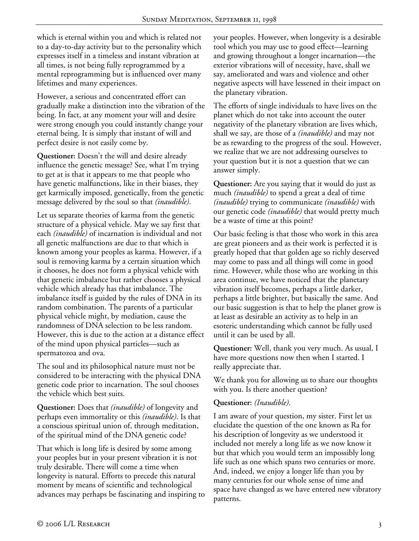which is eternal within you and which is related not to a day-to-day activity but to the personality which expresses itself in a timeless and instant vibration at all times, is not being fully reprogrammed by a mental reprogramming but is influenced over many lifetimes and many experiences.

However, a serious and concentrated effort can gradually make a distinction into the vibration of the being. In fact, at any moment your will and desire were strong enough you could instantly change your eternal being. It is simply that instant of will and perfect desire is not easily come by.

**Questioner:** Doesn't the will and desire already influence the genetic message? See, what I'm trying to get at is that it appears to me that people who have genetic malfunctions, like in their biases, they get karmically imposed, genetically, from the genetic message delivered by the soul so that *(inaudible)*.

Let us separate theories of karma from the genetic structure of a physical vehicle. May we say first that each *(inaudible)* of incarnation is individual and not all genetic malfunctions are due to that which is known among your peoples as karma. However, if a soul is removing karma by a certain situation which it chooses, he does not form a physical vehicle with that genetic imbalance but rather chooses a physical vehicle which already has that imbalance. The imbalance itself is guided by the rules of DNA in its random combination. The parents of a particular physical vehicle might, by mediation, cause the randomness of DNA selection to be less random. However, this is due to the action at a distance effect of the mind upon physical particles—such as spermatozoa and ova.

The soul and its philosophical nature must not be considered to be interacting with the physical DNA genetic code prior to incarnation. The soul chooses the vehicle which best suits.

**Questioner:** Does that *(inaudible)* of longevity and perhaps even immortality or this *(inaudible)*. Is that a conscious spiritual union of, through meditation, of the spiritual mind of the DNA genetic code?

That which is long life is desired by some among your peoples but in your present vibration it is not truly desirable. There will come a time when longevity is natural. Efforts to precede this natural moment by means of scientific and technological advances may perhaps be fascinating and inspiring to your peoples. However, when longevity is a desirable tool which you may use to good effect—learning and growing throughout a longer incarnation—the exterior vibrations will of necessity, have, shall we say, ameliorated and wars and violence and other negative aspects will have lessened in their impact on the planetary vibration.

The efforts of single individuals to have lives on the planet which do not take into account the outer negativity of the planetary vibration are lives which, shall we say, are those of a *(inaudible)* and may not be as rewarding to the progress of the soul. However, we realize that we are not addressing ourselves to your question but it is not a question that we can answer simply.

**Questioner:** Are you saying that it would do just as much *(inaudible)* to spend a great a deal of time *(inaudible)* trying to communicate *(inaudible)* with our genetic code *(inaudible)* that would pretty much be a waste of time at this point?

Our basic feeling is that those who work in this area are great pioneers and as their work is perfected it is greatly hoped that that golden age so richly deserved may come to pass and all things will come in good time. However, while those who are working in this area continue, we have noticed that the planetary vibration itself becomes, perhaps a little darker, perhaps a little brighter, but basically the same. And our basic suggestion is that to help the planet grow is at least as desirable an activity as to help in an esoteric understanding which cannot be fully used until it can be used by all.

**Questioner:** Well, thank you very much. As usual, I have more questions now then when I started. I really appreciate that.

We thank you for allowing us to share our thoughts with you. Is there another question?

### **Questioner:** *(Inaudible)*.

I am aware of your question, my sister. First let us elucidate the question of the one known as Ra for his description of longevity as we understood it included not merely a long life as we now know it but that which you would term an impossibly long life such as one which spans two centuries or more. And, indeed, we enjoy a longer life than you by many centuries for our whole sense of time and space have changed as we have entered new vibratory patterns.